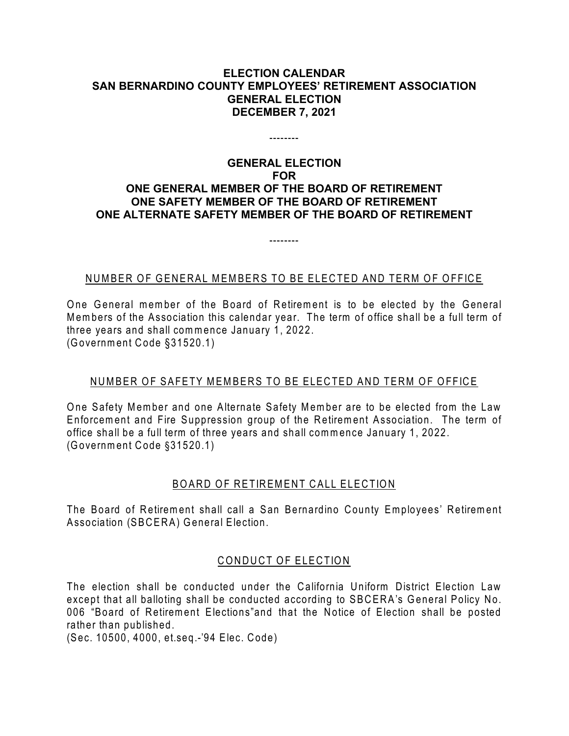#### **ELECTION CALENDAR SAN BERNARDINO COUNTY EMPLOYEES' RETIREMENT ASSOCIATION GENERAL ELECTION DECEMBER 7, 2021**

--------

## **GENERAL ELECTION FOR ONE GENERAL MEMBER OF THE BOARD OF RETIREMENT ONE SAFETY MEMBER OF THE BOARD OF RETIREMENT ONE ALTERNATE SAFETY MEMBER OF THE BOARD OF RETIREMENT**

# NUMBER OF GENERAL MEMBERS TO BE ELECTED AND TERM OF OFFICE

--------

One General member of the Board of Retirement is to be elected by the General Members of the Association this calendar year. The term of office shall be a full term of three years and shall commence January 1, 2022. (Government Code §31520.1)

## NUMBER OF SAFETY MEMBERS TO BE ELECTED AND TERM OF OFFICE

One Safety Member and one Alternate Safety Member are to be elected from the Law Enforcement and Fire Suppression group of the Retirement Association. The term of office shall be a full term of three years and shall commence January 1, 2022. (Government Code §31520.1)

#### BOARD OF RETIREMENT CALL ELECTION

The Board of Retirement shall call a San Bernardino County Employees' Retirement Association (SBCERA) General Election.

## CONDUCT OF ELECTION

The election shall be conducted under the California Uniform District Election Law except that all balloting shall be conducted according to SBCERA's General Policy No. 006 "Board of Retirement Elections"and that the Notice of Election shall be posted rather than published.

(Sec. 10500, 4000, et.seq.-'94 Elec. Code)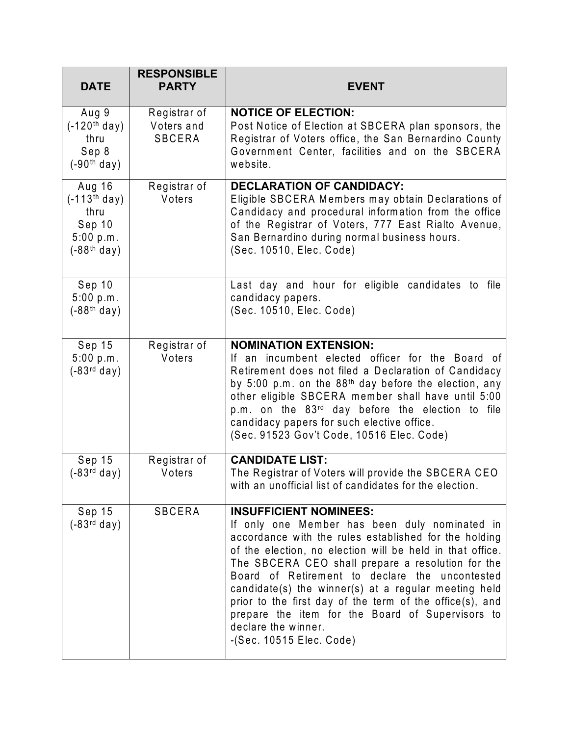| <b>DATE</b>                                                              | <b>RESPONSIBLE</b><br><b>PARTY</b>   | <b>EVENT</b>                                                                                                                                                                                                                                                                                                                                                                                                                                                                                                                             |
|--------------------------------------------------------------------------|--------------------------------------|------------------------------------------------------------------------------------------------------------------------------------------------------------------------------------------------------------------------------------------------------------------------------------------------------------------------------------------------------------------------------------------------------------------------------------------------------------------------------------------------------------------------------------------|
| Aug 9<br>$(-120th day)$<br>thru<br>Sep 8<br>$(-90th$ day)                | Registrar of<br>Voters and<br>SBCERA | <b>NOTICE OF ELECTION:</b><br>Post Notice of Election at SBCERA plan sponsors, the<br>Registrar of Voters office, the San Bernardino County<br>Government Center, facilities and on the SBCERA<br>website.                                                                                                                                                                                                                                                                                                                               |
| Aug 16<br>$(-113th$ day)<br>thru<br>Sep 10<br>5:00 p.m.<br>$(-88th day)$ | Registrar of<br>Voters               | <b>DECLARATION OF CANDIDACY:</b><br>Eligible SBCERA Members may obtain Declarations of<br>Candidacy and procedural information from the office<br>of the Registrar of Voters, 777 East Rialto Avenue,<br>San Bernardino during normal business hours.<br>(Sec. 10510, Elec. Code)                                                                                                                                                                                                                                                        |
| Sep 10<br>5:00 p.m.<br>$(-88th$ day)                                     |                                      | Last day and hour for eligible candidates to file<br>candidacy papers.<br>(Sec. 10510, Elec. Code)                                                                                                                                                                                                                                                                                                                                                                                                                                       |
| Sep 15<br>5:00 p.m.<br>$(-83rd day)$                                     | Registrar of<br>Voters               | <b>NOMINATION EXTENSION:</b><br>If an incumbent elected officer for the Board of<br>Retirement does not filed a Declaration of Candidacy<br>by 5:00 p.m. on the 88 <sup>th</sup> day before the election, any<br>other eligible SBCERA member shall have until 5:00<br>p.m. on the 83rd day before the election to file<br>candidacy papers for such elective office.<br>(Sec. 91523 Gov't Code, 10516 Elec. Code)                                                                                                                       |
| Sep 15<br>$(-83rd day)$                                                  | Registrar of<br>Voters               | <b>CANDIDATE LIST:</b><br>The Registrar of Voters will provide the SBCERA CEO<br>with an unofficial list of candidates for the election.                                                                                                                                                                                                                                                                                                                                                                                                 |
| Sep 15<br>$(-83rd day)$                                                  | SBCERA                               | <b>INSUFFICIENT NOMINEES:</b><br>If only one Member has been duly nominated in<br>accordance with the rules established for the holding<br>of the election, no election will be held in that office.<br>The SBCERA CEO shall prepare a resolution for the<br>Board of Retirement to declare the uncontested<br>candidate(s) the winner(s) at a regular meeting held<br>prior to the first day of the term of the office(s), and<br>prepare the item for the Board of Supervisors to<br>declare the winner.<br>$-(Sec. 10515 Elec. Code)$ |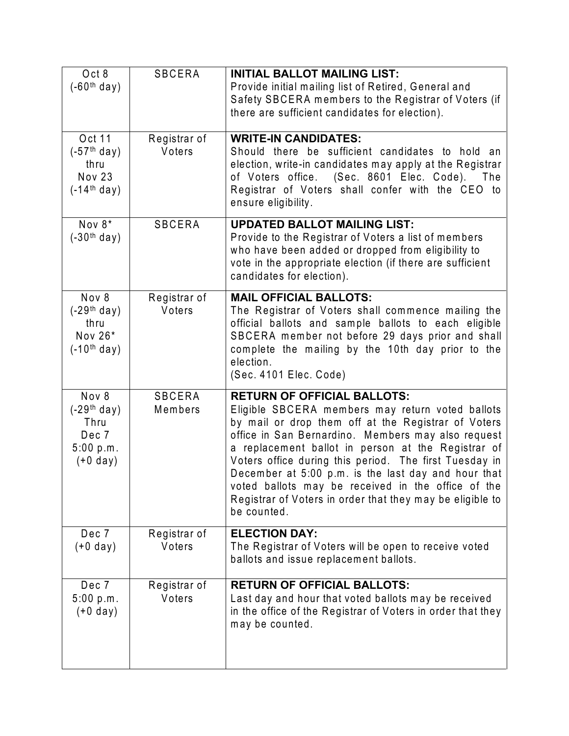| Oct 8<br>$(-60th$ day)                                             | <b>SBCERA</b>            | <b>INITIAL BALLOT MAILING LIST:</b><br>Provide initial mailing list of Retired, General and<br>Safety SBCERA members to the Registrar of Voters (if<br>there are sufficient candidates for election).                                                                                                                                                                                                                                                                                                        |
|--------------------------------------------------------------------|--------------------------|--------------------------------------------------------------------------------------------------------------------------------------------------------------------------------------------------------------------------------------------------------------------------------------------------------------------------------------------------------------------------------------------------------------------------------------------------------------------------------------------------------------|
| Oct 11<br>$(-57th day)$<br>thru<br><b>Nov 23</b><br>$(-14th day)$  | Registrar of<br>Voters   | <b>WRITE-IN CANDIDATES:</b><br>Should there be sufficient candidates to hold an<br>election, write-in candidates may apply at the Registrar<br>of Voters office. (Sec. 8601 Elec. Code).<br>The<br>Registrar of Voters shall confer with the CEO to<br>ensure eligibility.                                                                                                                                                                                                                                   |
| Nov 8*<br>$(-30th$ day)                                            | <b>SBCERA</b>            | <b>UPDATED BALLOT MAILING LIST:</b><br>Provide to the Registrar of Voters a list of members<br>who have been added or dropped from eligibility to<br>vote in the appropriate election (if there are sufficient<br>candidates for election).                                                                                                                                                                                                                                                                  |
| Nov 8<br>$(-29th day)$<br>thru<br>Nov 26*<br>$(-10th day)$         | Registrar of<br>Voters   | <b>MAIL OFFICIAL BALLOTS:</b><br>The Registrar of Voters shall commence mailing the<br>official ballots and sample ballots to each eligible<br>SBCERA member not before 29 days prior and shall<br>complete the mailing by the 10th day prior to the<br>election.<br>(Sec. 4101 Elec. Code)                                                                                                                                                                                                                  |
| Nov 8<br>$(-29th$ day)<br>Thru<br>Dec 7<br>5:00 p.m.<br>$(+0$ day) | <b>SBCERA</b><br>Members | <b>RETURN OF OFFICIAL BALLOTS:</b><br>Eligible SBCERA members may return voted ballots<br>by mail or drop them off at the Registrar of Voters<br>office in San Bernardino. Members may also request<br>a replacement ballot in person at the Registrar of<br>Voters office during this period. The first Tuesday in<br>December at 5:00 p.m. is the last day and hour that<br>voted ballots may be received in the office of the<br>Registrar of Voters in order that they may be eligible to<br>be counted. |
| Dec 7<br>$(+0$ day)                                                | Registrar of<br>Voters   | <b>ELECTION DAY:</b><br>The Registrar of Voters will be open to receive voted<br>ballots and issue replacement ballots.                                                                                                                                                                                                                                                                                                                                                                                      |
| Dec 7<br>5:00 p.m.<br>$(+0$ day)                                   | Registrar of<br>Voters   | <b>RETURN OF OFFICIAL BALLOTS:</b><br>Last day and hour that voted ballots may be received<br>in the office of the Registrar of Voters in order that they<br>may be counted.                                                                                                                                                                                                                                                                                                                                 |